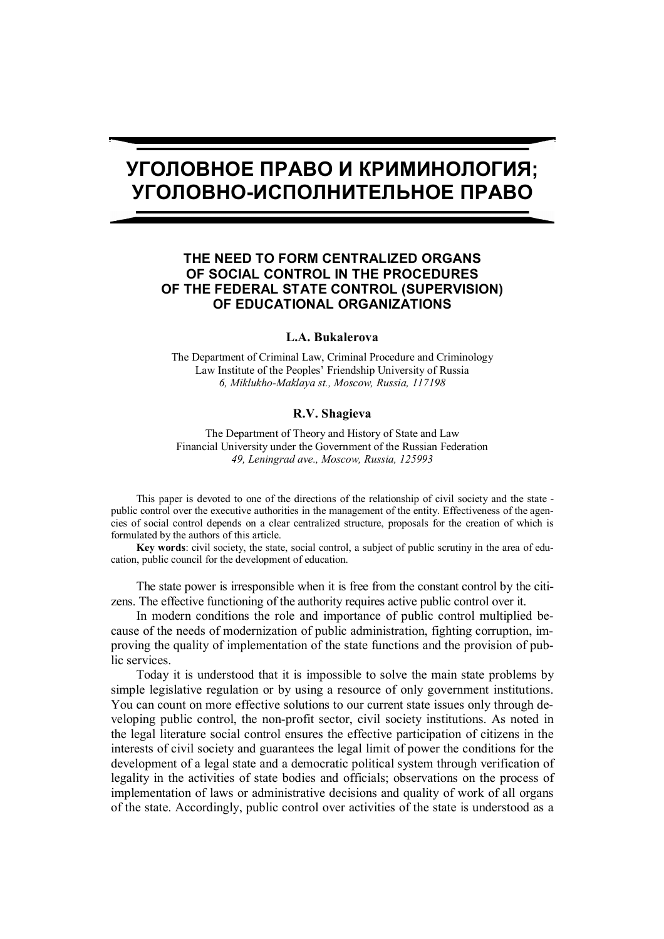# **УГОЛОВНОЕ ПРАВО И КРИМИНОЛОГИЯ; УГОЛОВНО-ИСПОЛНИТЕЛЬНОЕ ПРАВО**

## **THE NEED TO FORM CENTRALIZED ORGANS OF SOCIAL CONTROL IN THE PROCEDURES OF THE FEDERAL STATE CONTROL (SUPERVISION) OF EDUCATIONAL ORGANIZATIONS**

### **L.A. Bukalerova**

The Department of Criminal Law, Criminal Procedure and Criminology Law Institute of the Peoples' Friendship University of Russia *6, Miklukho-Maklaya st., Moscow, Russia, 117198*

#### **R.V. Shagieva**

The Department of Theory and History of State and Law Financial University under the Government of the Russian Federation *49, Leningrad ave., Moscow, Russia, 125993*

This paper is devoted to one of the directions of the relationship of civil society and the state public control over the executive authorities in the management of the entity. Effectiveness of the agencies of social control depends on a clear centralized structure, proposals for the creation of which is formulated by the authors of this article.

**Key words**: civil society, the state, social control, a subject of public scrutiny in the area of education, public council for the development of education.

The state power is irresponsible when it is free from the constant control by the citizens. The effective functioning of the authority requires active public control over it.

In modern conditions the role and importance of public control multiplied because of the needs of modernization of public administration, fighting corruption, improving the quality of implementation of the state functions and the provision of public services.

Today it is understood that it is impossible to solve the main state problems by simple legislative regulation or by using a resource of only government institutions. You can count on more effective solutions to our current state issues only through developing public control, the non-profit sector, civil society institutions. As noted in the legal literature social control ensures the effective participation of citizens in the interests of civil society and guarantees the legal limit of power the conditions for the development of a legal state and a democratic political system through verification of legality in the activities of state bodies and officials; observations on the process of implementation of laws or administrative decisions and quality of work of all organs of the state. Accordingly, public control over activities of the state is understood as a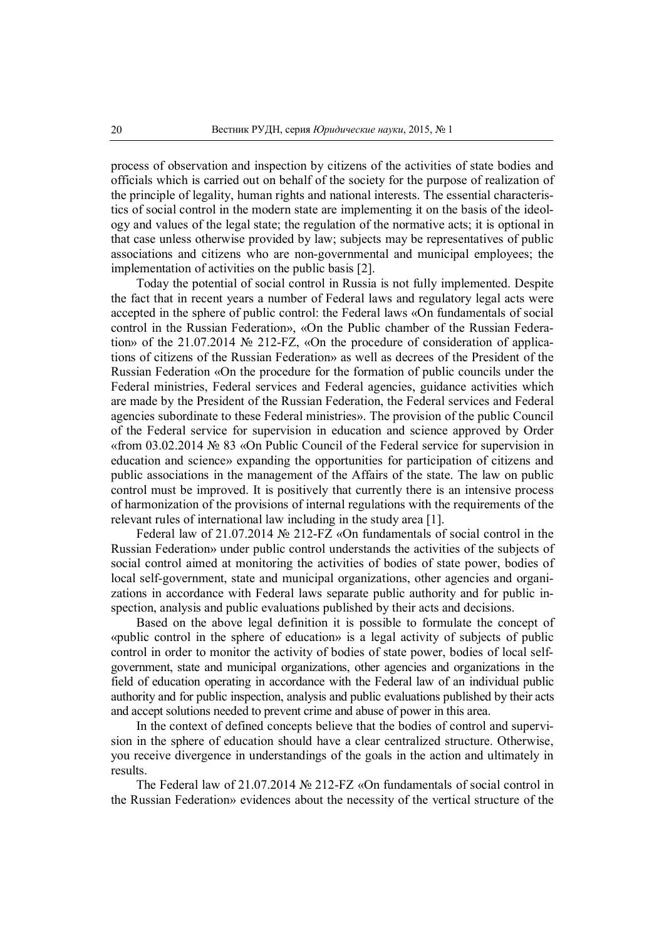process of observation and inspection by citizens of the activities of state bodies and officials which is carried out on behalf of the society for the purpose of realization of the principle of legality, human rights and national interests. The essential characteristics of social control in the modern state are implementing it on the basis of the ideology and values of the legal state; the regulation of the normative acts; it is optional in that case unless otherwise provided by law; subjects may be representatives of public associations and citizens who are non-governmental and municipal employees; the implementation of activities on the public basis [2].

Today the potential of social control in Russia is not fully implemented. Despite the fact that in recent years a number of Federal laws and regulatory legal acts were accepted in the sphere of public control: the Federal laws «On fundamentals of social control in the Russian Federation», «On the Public chamber of the Russian Federation» of the 21.07.2014 № 212-FZ, «On the procedure of consideration of applications of citizens of the Russian Federation» as well as decrees of the President of the Russian Federation «On the procedure for the formation of public councils under the Federal ministries, Federal services and Federal agencies, guidance activities which are made by the President of the Russian Federation, the Federal services and Federal agencies subordinate to these Federal ministries». The provision of the public Council of the Federal service for supervision in education and science approved by Order «from 03.02.2014 № 83 «On Public Council of the Federal service for supervision in education and science» expanding the opportunities for participation of citizens and public associations in the management of the Affairs of the state. The law on public control must be improved. It is positively that currently there is an intensive process of harmonization of the provisions of internal regulations with the requirements of the relevant rules of international law including in the study area [1].

Federal law of 21.07.2014 № 212-FZ «On fundamentals of social control in the Russian Federation» under public control understands the activities of the subjects of social control aimed at monitoring the activities of bodies of state power, bodies of local self-government, state and municipal organizations, other agencies and organizations in accordance with Federal laws separate public authority and for public inspection, analysis and public evaluations published by their acts and decisions.

Based on the above legal definition it is possible to formulate the concept of «public control in the sphere of education» is a legal activity of subjects of public control in order to monitor the activity of bodies of state power, bodies of local selfgovernment, state and municipal organizations, other agencies and organizations in the field of education operating in accordance with the Federal law of an individual public authority and for public inspection, analysis and public evaluations published by their acts and accept solutions needed to prevent crime and abuse of power in this area.

In the context of defined concepts believe that the bodies of control and supervision in the sphere of education should have a clear centralized structure. Otherwise, you receive divergence in understandings of the goals in the action and ultimately in results.

The Federal law of 21.07.2014 № 212-FZ «On fundamentals of social control in the Russian Federation» evidences about the necessity of the vertical structure of the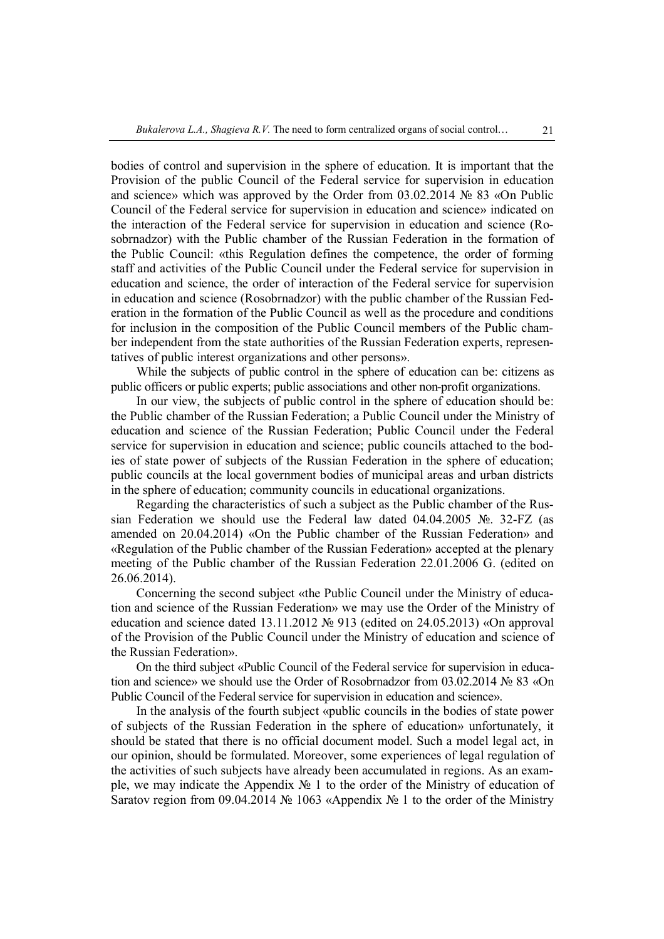bodies of control and supervision in the sphere of education. It is important that the Provision of the public Council of the Federal service for supervision in education and science» which was approved by the Order from 03.02.2014 № 83 «On Public Council of the Federal service for supervision in education and science» indicated on the interaction of the Federal service for supervision in education and science (Rosobrnadzor) with the Public chamber of the Russian Federation in the formation of the Public Council: «this Regulation defines the competence, the order of forming staff and activities of the Public Council under the Federal service for supervision in education and science, the order of interaction of the Federal service for supervision in education and science (Rosobrnadzor) with the public chamber of the Russian Federation in the formation of the Public Council as well as the procedure and conditions for inclusion in the composition of the Public Council members of the Public chamber independent from the state authorities of the Russian Federation experts, representatives of public interest organizations and other persons».

While the subjects of public control in the sphere of education can be: citizens as public officers or public experts; public associations and other non-profit organizations.

In our view, the subjects of public control in the sphere of education should be: the Public chamber of the Russian Federation; a Public Council under the Ministry of education and science of the Russian Federation; Public Council under the Federal service for supervision in education and science; public councils attached to the bodies of state power of subjects of the Russian Federation in the sphere of education; public councils at the local government bodies of municipal areas and urban districts in the sphere of education; community councils in educational organizations.

Regarding the characteristics of such a subject as the Public chamber of the Russian Federation we should use the Federal law dated 04.04.2005 №. 32-FZ (as amended on 20.04.2014) «On the Public chamber of the Russian Federation» and «Regulation of the Public chamber of the Russian Federation» accepted at the plenary meeting of the Public chamber of the Russian Federation 22.01.2006 G. (edited on 26.06.2014).

Concerning the second subject «the Public Council under the Ministry of education and science of the Russian Federation» we may use the Order of the Ministry of education and science dated 13.11.2012 № 913 (edited on 24.05.2013) «On approval of the Provision of the Public Council under the Ministry of education and science of the Russian Federation».

On the third subject «Public Council of the Federal service for supervision in education and science» we should use the Order of Rosobrnadzor from 03.02.2014 № 83 «On Public Council of the Federal service for supervision in education and science».

In the analysis of the fourth subject «public councils in the bodies of state power of subjects of the Russian Federation in the sphere of education» unfortunately, it should be stated that there is no official document model. Such a model legal act, in our opinion, should be formulated. Moreover, some experiences of legal regulation of the activities of such subjects have already been accumulated in regions. As an example, we may indicate the Appendix № 1 to the order of the Ministry of education of Saratov region from 09.04.2014 № 1063 «Appendix № 1 to the order of the Ministry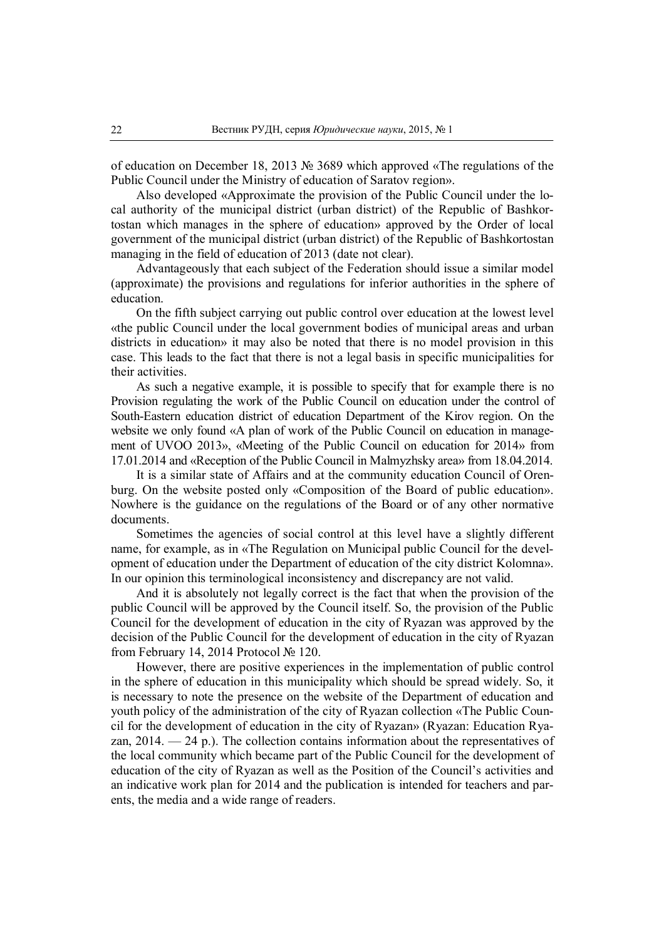of education on December 18, 2013 № 3689 which approved «The regulations of the Public Council under the Ministry of education of Saratov region».

Also developed «Approximate the provision of the Public Council under the local authority of the municipal district (urban district) of the Republic of Bashkortostan which manages in the sphere of education» approved by the Order of local government of the municipal district (urban district) of the Republic of Bashkortostan managing in the field of education of 2013 (date not clear).

Advantageously that each subject of the Federation should issue a similar model (approximate) the provisions and regulations for inferior authorities in the sphere of education.

On the fifth subject carrying out public control over education at the lowest level «the public Council under the local government bodies of municipal areas and urban districts in education» it may also be noted that there is no model provision in this case. This leads to the fact that there is not a legal basis in specific municipalities for their activities.

As such a negative example, it is possible to specify that for example there is no Provision regulating the work of the Public Council on education under the control of South-Eastern education district of education Department of the Kirov region. On the website we only found «A plan of work of the Public Council on education in management of UVOO 2013», «Meeting of the Public Council on education for 2014» from 17.01.2014 and «Reception of the Public Council in Malmyzhsky area» from 18.04.2014.

It is a similar state of Affairs and at the community education Council of Orenburg. On the website posted only «Composition of the Board of public education». Nowhere is the guidance on the regulations of the Board or of any other normative documents.

Sometimes the agencies of social control at this level have a slightly different name, for example, as in «The Regulation on Municipal public Council for the development of education under the Department of education of the city district Kolomna». In our opinion this terminological inconsistency and discrepancy are not valid.

And it is absolutely not legally correct is the fact that when the provision of the public Council will be approved by the Council itself. So, the provision of the Public Council for the development of education in the city of Ryazan was approved by the decision of the Public Council for the development of education in the city of Ryazan from February 14, 2014 Protocol № 120.

However, there are positive experiences in the implementation of public control in the sphere of education in this municipality which should be spread widely. So, it is necessary to note the presence on the website of the Department of education and youth policy of the administration of the city of Ryazan collection «The Public Council for the development of education in the city of Ryazan» (Ryazan: Education Ryazan, 2014. — 24 p.). The collection contains information about the representatives of the local community which became part of the Public Council for the development of education of the city of Ryazan as well as the Position of the Council's activities and an indicative work plan for 2014 and the publication is intended for teachers and parents, the media and a wide range of readers.